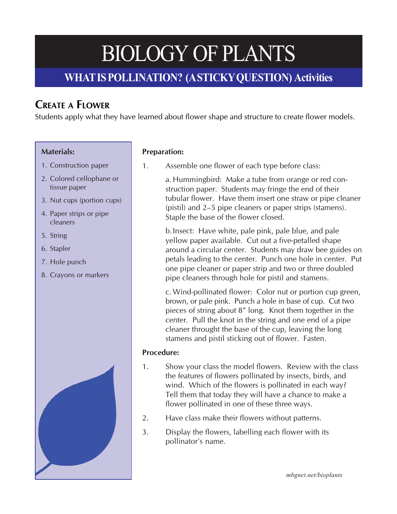# **WHAT IS POLLINATION? (A STICKY QUESTION) Activities**

## **CREATE A FLOWER**

Students apply what they have learned about flower shape and structure to create flower models.

### **Materials:**

- 1. Construction paper
- 2. Colored cellophane or tissue paper
- 3. Nut cups (portion cups)
- 4. Paper strips or pipe cleaners
- 5. String
- 6. Stapler
- 7. Hole punch
- 8. Crayons or markers



### **Preparation:**

1. Assemble one flower of each type before class:

a. Hummingbird: Make a tube from orange or red construction paper. Students may fringe the end of their tubular flower. Have them insert one straw or pipe cleaner (pistil) and 2–5 pipe cleaners or paper strips (stamens). Staple the base of the flower closed.

b.Insect: Have white, pale pink, pale blue, and pale yellow paper available. Cut out a five-petalled shape around a circular center. Students may draw bee guides on petals leading to the center. Punch one hole in center. Put one pipe cleaner or paper strip and two or three doubled pipe cleaners through hole for pistil and stamens.

c. Wind-pollinated flower: Color nut or portion cup green, brown, or pale pink. Punch a hole in base of cup. Cut two pieces of string about 8" long. Knot them together in the center. Pull the knot in the string and one end of a pipe cleaner throught the base of the cup, leaving the long stamens and pistil sticking out of flower. Fasten.

### **Procedure:**

- 1. Show your class the model flowers. Review with the class the features of flowers pollinated by insects, birds, and wind. Which of the flowers is pollinated in each way? Tell them that today they will have a chance to make a flower pollinated in one of these three ways.
- 2. Have class make their flowers without patterns.
- 3. Display the flowers, labelling each flower with its pollinator's name.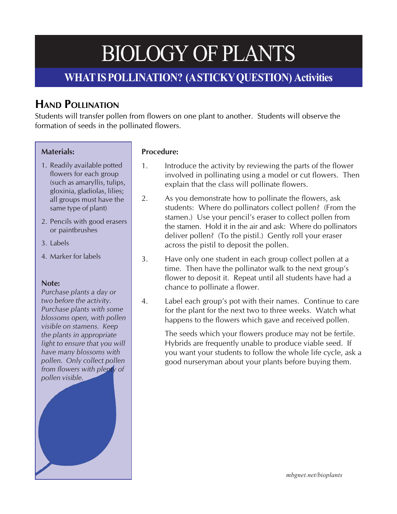## **WHAT IS POLLINATION? (A STICKY QUESTION) Activities**

## **HAND POLLINATION**

Students will transfer pollen from flowers on one plant to another. Students will observe the formation of seeds in the pollinated flowers.

### **Materials:**

- 1. Readily available potted flowers for each group (such as amaryllis, tulips, gloxinia, gladiolas, lilies; all groups must have the same type of plant)
- 2. Pencils with good erasers or paintbrushes
- 3. Labels
- 4. Marker for labels

#### **Note:**

*Purchase plants a day or two before the activity. Purchase plants with some blossoms open, with pollen visible on stamens. Keep the plants in appropriate light to ensure that you will have many blossoms with pollen. Only collect pollen from flowers with plenty of pollen visible.*

### **Procedure:**

- 1. Introduce the activity by reviewing the parts of the flower involved in pollinating using a model or cut flowers. Then explain that the class will pollinate flowers.
- 2. As you demonstrate how to pollinate the flowers, ask students: Where do pollinators collect pollen? (From the stamen.) Use your pencil's eraser to collect pollen from the stamen. Hold it in the air and ask: Where do pollinators deliver pollen? (To the pistil.) Gently roll your eraser across the pistil to deposit the pollen.
- 3. Have only one student in each group collect pollen at a time. Then have the pollinator walk to the next group's flower to deposit it. Repeat until all students have had a chance to pollinate a flower.
- 4. Label each group's pot with their names. Continue to care for the plant for the next two to three weeks. Watch what happens to the flowers which gave and received pollen.

The seeds which your flowers produce may not be fertile. Hybrids are frequently unable to produce viable seed. If you want your students to follow the whole life cycle, ask a good nurseryman about your plants before buying them.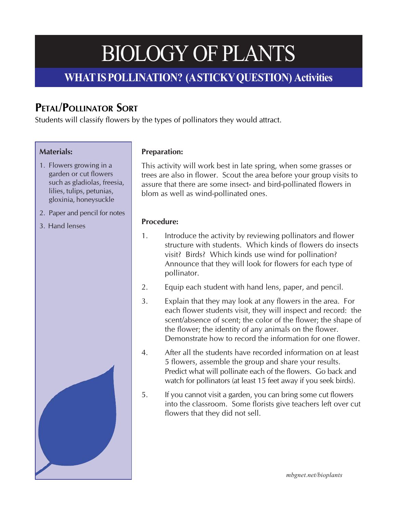## **WHAT IS POLLINATION? (A STICKY QUESTION) Activities**

# **PETAL/POLLINATOR SORT**

Students will classify flowers by the types of pollinators they would attract.

## **Materials:**

- 1. Flowers growing in a garden or cut flowers such as gladiolas, freesia, lilies, tulips, petunias, gloxinia, honeysuckle
- 2. Paper and pencil for notes
- 3. Hand lenses

## **Preparation:**

This activity will work best in late spring, when some grasses or trees are also in flower. Scout the area before your group visits to assure that there are some insect- and bird-pollinated flowers in blom as well as wind-pollinated ones.

## **Procedure:**

- 1. Introduce the activity by reviewing pollinators and flower structure with students. Which kinds of flowers do insects visit? Birds? Which kinds use wind for pollination? Announce that they will look for flowers for each type of pollinator.
- 2. Equip each student with hand lens, paper, and pencil.
- 3. Explain that they may look at any flowers in the area. For each flower students visit, they will inspect and record: the scent/absence of scent; the color of the flower; the shape of the flower; the identity of any animals on the flower. Demonstrate how to record the information for one flower.
- 4. After all the students have recorded information on at least 5 flowers, assemble the group and share your results. Predict what will pollinate each of the flowers. Go back and watch for pollinators (at least 15 feet away if you seek birds).
- 5. If you cannot visit a garden, you can bring some cut flowers into the classroom. Some florists give teachers left over cut flowers that they did not sell.